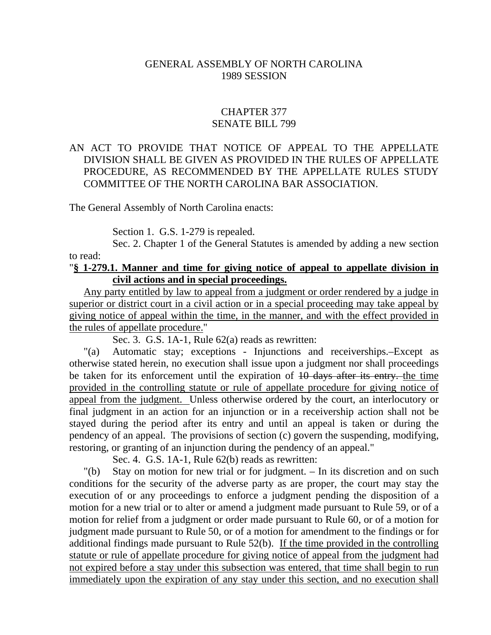#### GENERAL ASSEMBLY OF NORTH CAROLINA 1989 SESSION

## CHAPTER 377 SENATE BILL 799

### AN ACT TO PROVIDE THAT NOTICE OF APPEAL TO THE APPELLATE DIVISION SHALL BE GIVEN AS PROVIDED IN THE RULES OF APPELLATE PROCEDURE, AS RECOMMENDED BY THE APPELLATE RULES STUDY COMMITTEE OF THE NORTH CAROLINA BAR ASSOCIATION.

The General Assembly of North Carolina enacts:

Section 1. G.S. 1-279 is repealed.

Sec. 2. Chapter 1 of the General Statutes is amended by adding a new section to read:

#### "**§ 1-279.1. Manner and time for giving notice of appeal to appellate division in civil actions and in special proceedings.**

Any party entitled by law to appeal from a judgment or order rendered by a judge in superior or district court in a civil action or in a special proceeding may take appeal by giving notice of appeal within the time, in the manner, and with the effect provided in the rules of appellate procedure."

Sec. 3. G.S. 1A-1, Rule 62(a) reads as rewritten:

"(a) Automatic stay; exceptions - Injunctions and receiverships.–Except as otherwise stated herein, no execution shall issue upon a judgment nor shall proceedings be taken for its enforcement until the expiration of  $10$  days after its entry, the time provided in the controlling statute or rule of appellate procedure for giving notice of appeal from the judgment. Unless otherwise ordered by the court, an interlocutory or final judgment in an action for an injunction or in a receivership action shall not be stayed during the period after its entry and until an appeal is taken or during the pendency of an appeal. The provisions of section (c) govern the suspending, modifying, restoring, or granting of an injunction during the pendency of an appeal."

Sec. 4. G.S. 1A-1, Rule 62(b) reads as rewritten:

"(b) Stay on motion for new trial or for judgment. – In its discretion and on such conditions for the security of the adverse party as are proper, the court may stay the execution of or any proceedings to enforce a judgment pending the disposition of a motion for a new trial or to alter or amend a judgment made pursuant to Rule 59, or of a motion for relief from a judgment or order made pursuant to Rule 60, or of a motion for judgment made pursuant to Rule 50, or of a motion for amendment to the findings or for additional findings made pursuant to Rule 52(b). If the time provided in the controlling statute or rule of appellate procedure for giving notice of appeal from the judgment had not expired before a stay under this subsection was entered, that time shall begin to run immediately upon the expiration of any stay under this section, and no execution shall